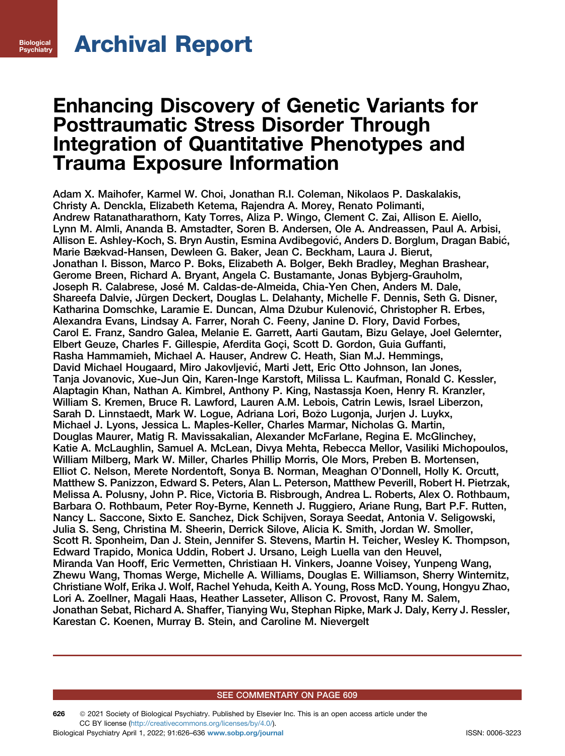Archival Report

# Enhancing Discovery of Genetic Variants for Posttraumatic Stress Disorder Through Integration of Quantitative Phenotypes and Trauma Exposure Information

Adam X. Maihofer, Karmel W. Choi, Jonathan R.I. Coleman, Nikolaos P. Daskalakis, Christy A. Denckla, Elizabeth Ketema, Rajendra A. Morey, Renato Polimanti, Andrew Ratanatharathorn, Katy Torres, Aliza P. Wingo, Clement C. Zai, Allison E. Aiello, Lynn M. Almli, Ananda B. Amstadter, Soren B. Andersen, Ole A. Andreassen, Paul A. Arbisi, Allison E. Ashley-Koch, S. Bryn Austin, Esmina Avdibegović, Anders D. Borglum, Dragan Babić, Marie Bækvad-Hansen, Dewleen G. Baker, Jean C. Beckham, Laura J. Bierut, Jonathan I. Bisson, Marco P. Boks, Elizabeth A. Bolger, Bekh Bradley, Meghan Brashear, Gerome Breen, Richard A. Bryant, Angela C. Bustamante, Jonas Bybjerg-Grauholm, Joseph R. Calabrese, José M. Caldas-de-Almeida, Chia-Yen Chen, Anders M. Dale, Shareefa Dalvie, Jürgen Deckert, Douglas L. Delahanty, Michelle F. Dennis, Seth G. Disner, Katharina Domschke, Laramie E. Duncan, Alma Džubur Kulenović, Christopher R. Erbes, Alexandra Evans, Lindsay A. Farrer, Norah C. Feeny, Janine D. Flory, David Forbes, Carol E. Franz, Sandro Galea, Melanie E. Garrett, Aarti Gautam, Bizu Gelaye, Joel Gelernter, Elbert Geuze, Charles F. Gillespie, Aferdita Goçi, Scott D. Gordon, Guia Guffanti, Rasha Hammamieh, Michael A. Hauser, Andrew C. Heath, Sian M.J. Hemmings, David Michael Hougaard, Miro Jakovljevic, Marti Jett, Eric Otto Johnson, Ian Jones, Tanja Jovanovic, Xue-Jun Qin, Karen-Inge Karstoft, Milissa L. Kaufman, Ronald C. Kessler, Alaptagin Khan, Nathan A. Kimbrel, Anthony P. King, Nastassja Koen, Henry R. Kranzler, William S. Kremen, Bruce R. Lawford, Lauren A.M. Lebois, Catrin Lewis, Israel Liberzon, Sarah D. Linnstaedt, Mark W. Logue, Adriana Lori, Bozo Lugonja, Jurjen J. Luykx, Michael J. Lyons, Jessica L. Maples-Keller, Charles Marmar, Nicholas G. Martin, Douglas Maurer, Matig R. Mavissakalian, Alexander McFarlane, Regina E. McGlinchey, Katie A. McLaughlin, Samuel A. McLean, Divya Mehta, Rebecca Mellor, Vasiliki Michopoulos, William Milberg, Mark W. Miller, Charles Phillip Morris, Ole Mors, Preben B. Mortensen, Elliot C. Nelson, Merete Nordentoft, Sonya B. Norman, Meaghan O'Donnell, Holly K. Orcutt, Matthew S. Panizzon, Edward S. Peters, Alan L. Peterson, Matthew Peverill, Robert H. Pietrzak, Melissa A. Polusny, John P. Rice, Victoria B. Risbrough, Andrea L. Roberts, Alex O. Rothbaum, Barbara O. Rothbaum, Peter Roy-Byrne, Kenneth J. Ruggiero, Ariane Rung, Bart P.F. Rutten, Nancy L. Saccone, Sixto E. Sanchez, Dick Schijven, Soraya Seedat, Antonia V. Seligowski, Julia S. Seng, Christina M. Sheerin, Derrick Silove, Alicia K. Smith, Jordan W. Smoller, Scott R. Sponheim, Dan J. Stein, Jennifer S. Stevens, Martin H. Teicher, Wesley K. Thompson, Edward Trapido, Monica Uddin, Robert J. Ursano, Leigh Luella van den Heuvel, Miranda Van Hooff, Eric Vermetten, Christiaan H. Vinkers, Joanne Voisey, Yunpeng Wang, Zhewu Wang, Thomas Werge, Michelle A. Williams, Douglas E. Williamson, Sherry Winternitz, Christiane Wolf, Erika J. Wolf, Rachel Yehuda, Keith A. Young, Ross McD. Young, Hongyu Zhao, Lori A. Zoellner, Magali Haas, Heather Lasseter, Allison C. Provost, Rany M. Salem, Jonathan Sebat, Richard A. Shaffer, Tianying Wu, Stephan Ripke, Mark J. Daly, Kerry J. Ressler, Karestan C. Koenen, Murray B. Stein, and Caroline M. Nievergelt

#### SEE COMMENTARY ON PAGE 609

626 © 2021 Society of Biological Psychiatry. Published by Elsevier Inc. This is an open access article under the CC BY license [\(http://creativecommons.org/licenses/by/4.0/](http://creativecommons.org/licenses/by/4.0/)). Biological Psychiatry April 1, 2022; 91:626-636 [www.sobp.org/journal](http://www.sobp.org/journal) ISSN: 0006-3223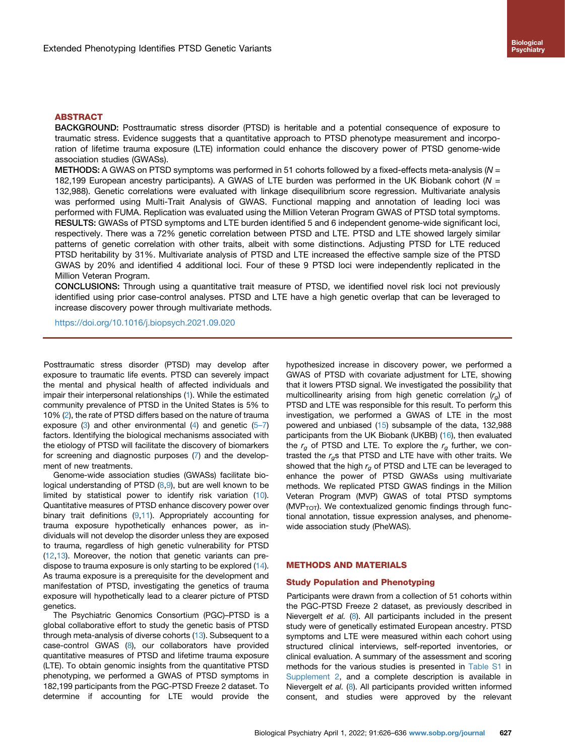# **ABSTRACT**

BACKGROUND: Posttraumatic stress disorder (PTSD) is heritable and a potential consequence of exposure to traumatic stress. Evidence suggests that a quantitative approach to PTSD phenotype measurement and incorporation of lifetime trauma exposure (LTE) information could enhance the discovery power of PTSD genome-wide association studies (GWASs).

**METHODS:** A GWAS on PTSD symptoms was performed in 51 cohorts followed by a fixed-effects meta-analysis ( $N =$ 182,199 European ancestry participants). A GWAS of LTE burden was performed in the UK Biobank cohort (N = 132,988). Genetic correlations were evaluated with linkage disequilibrium score regression. Multivariate analysis was performed using Multi-Trait Analysis of GWAS. Functional mapping and annotation of leading loci was performed with FUMA. Replication was evaluated using the Million Veteran Program GWAS of PTSD total symptoms. RESULTS: GWASs of PTSD symptoms and LTE burden identified 5 and 6 independent genome-wide significant loci, respectively. There was a 72% genetic correlation between PTSD and LTE. PTSD and LTE showed largely similar patterns of genetic correlation with other traits, albeit with some distinctions. Adjusting PTSD for LTE reduced PTSD heritability by 31%. Multivariate analysis of PTSD and LTE increased the effective sample size of the PTSD GWAS by 20% and identified 4 additional loci. Four of these 9 PTSD loci were independently replicated in the Million Veteran Program.

CONCLUSIONS: Through using a quantitative trait measure of PTSD, we identified novel risk loci not previously identified using prior case-control analyses. PTSD and LTE have a high genetic overlap that can be leveraged to increase discovery power through multivariate methods.

<https://doi.org/10.1016/j.biopsych.2021.09.020>

Posttraumatic stress disorder (PTSD) may develop after exposure to traumatic life events. PTSD can severely impact the mental and physical health of affected individuals and impair their interpersonal relationships ([1](#page-9-0)). While the estimated community prevalence of PTSD in the United States is 5% to 10% ([2](#page-9-1)), the rate of PTSD differs based on the nature of trauma exposure  $(3)$  and other environmental  $(4)$  and genetic  $(5-7)$  $(5-7)$  $(5-7)$ factors. Identifying the biological mechanisms associated with the etiology of PTSD will facilitate the discovery of biomarkers for screening and diagnostic purposes [\(7\)](#page-9-5) and the development of new treatments.

Genome-wide association studies (GWASs) facilitate bio-logical understanding of PTSD [\(8](#page-9-6)[,9\)](#page-9-7), but are well known to be limited by statistical power to identify risk variation ([10](#page-9-8)). Quantitative measures of PTSD enhance discovery power over binary trait definitions [\(9](#page-9-7)[,11\)](#page-9-9). Appropriately accounting for trauma exposure hypothetically enhances power, as individuals will not develop the disorder unless they are exposed to trauma, regardless of high genetic vulnerability for PTSD ([12](#page-9-10),[13\)](#page-9-11). Moreover, the notion that genetic variants can predispose to trauma exposure is only starting to be explored ([14](#page-9-12)). As trauma exposure is a prerequisite for the development and manifestation of PTSD, investigating the genetics of trauma exposure will hypothetically lead to a clearer picture of PTSD genetics.

The Psychiatric Genomics Consortium (PGC)–PTSD is a global collaborative effort to study the genetic basis of PTSD through meta-analysis of diverse cohorts [\(13\)](#page-9-11). Subsequent to a case-control GWAS ([8](#page-9-6)), our collaborators have provided quantitative measures of PTSD and lifetime trauma exposure (LTE). To obtain genomic insights from the quantitative PTSD phenotyping, we performed a GWAS of PTSD symptoms in 182,199 participants from the PGC-PTSD Freeze 2 dataset. To determine if accounting for LTE would provide the

hypothesized increase in discovery power, we performed a GWAS of PTSD with covariate adjustment for LTE, showing that it lowers PTSD signal. We investigated the possibility that multicollinearity arising from high genetic correlation  $(r<sub>a</sub>)$  of PTSD and LTE was responsible for this result. To perform this investigation, we performed a GWAS of LTE in the most powered and unbiased ([15](#page-9-13)) subsample of the data, 132,988 participants from the UK Biobank (UKBB) ([16](#page-9-14)), then evaluated the  $r_q$  of PTSD and LTE. To explore the  $r_q$  further, we contrasted the  $r<sub>g</sub>$ s that PTSD and LTE have with other traits. We showed that the high  $r_q$  of PTSD and LTE can be leveraged to enhance the power of PTSD GWASs using multivariate methods. We replicated PTSD GWAS findings in the Million Veteran Program (MVP) GWAS of total PTSD symptoms  $(MVP<sub>TOT</sub>)$ . We contextualized genomic findings through functional annotation, tissue expression analyses, and phenomewide association study (PheWAS).

# METHODS AND MATERIALS

# Study Population and Phenotyping

Participants were drawn from a collection of 51 cohorts within the PGC-PTSD Freeze 2 dataset, as previously described in Nievergelt et al. [\(8](#page-9-6)). All participants included in the present study were of genetically estimated European ancestry. PTSD symptoms and LTE were measured within each cohort using structured clinical interviews, self-reported inventories, or clinical evaluation. A summary of the assessment and scoring methods for the various studies is presented in [Table S1](#page-10-0) in [Supplement 2](#page-10-0), and a complete description is available in Nievergelt et al. ([8\)](#page-9-6). All participants provided written informed consent, and studies were approved by the relevant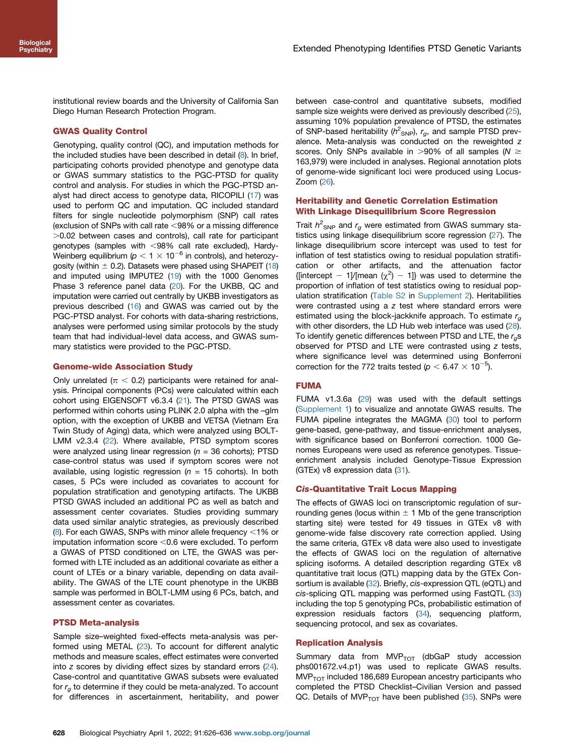institutional review boards and the University of California San Diego Human Research Protection Program.

# GWAS Quality Control

Genotyping, quality control (QC), and imputation methods for the included studies have been described in detail ([8](#page-9-6)). In brief, participating cohorts provided phenotype and genotype data or GWAS summary statistics to the PGC-PTSD for quality control and analysis. For studies in which the PGC-PTSD analyst had direct access to genotype data, RICOPILI ([17\)](#page-9-15) was used to perform QC and imputation. QC included standard filters for single nucleotide polymorphism (SNP) call rates (exclusion of SNPs with call rate  $<$ 98% or a missing difference .0.02 between cases and controls), call rate for participant genotypes (samples with <98% call rate excluded), Hardy-Weinberg equilibrium ( $p < 1 \times 10^{-6}$  in controls), and heterozygosity (within  $\pm$  0.2). Datasets were phased using SHAPEIT [\(18](#page-9-16)) and imputed using IMPUTE2 [\(19](#page-9-17)) with the 1000 Genomes Phase 3 reference panel data ([20](#page-9-18)). For the UKBB, QC and imputation were carried out centrally by UKBB investigators as previous described [\(16\)](#page-9-14) and GWAS was carried out by the PGC-PTSD analyst. For cohorts with data-sharing restrictions, analyses were performed using similar protocols by the study team that had individual-level data access, and GWAS summary statistics were provided to the PGC-PTSD.

## Genome-wide Association Study

Only unrelated ( $\pi$  < 0.2) participants were retained for analysis. Principal components (PCs) were calculated within each cohort using EIGENSOFT v6.3.4 ([21](#page-9-19)). The PTSD GWAS was performed within cohorts using PLINK 2.0 alpha with the –glm option, with the exception of UKBB and VETSA (Vietnam Era Twin Study of Aging) data, which were analyzed using BOLT-LMM v2.3.4 ([22](#page-9-20)). Where available, PTSD symptom scores were analyzed using linear regression ( $n = 36$  cohorts); PTSD case-control status was used if symptom scores were not available, using logistic regression  $(n = 15$  cohorts). In both cases, 5 PCs were included as covariates to account for population stratification and genotyping artifacts. The UKBB PTSD GWAS included an additional PC as well as batch and assessment center covariates. Studies providing summary data used similar analytic strategies, as previously described  $(8)$  $(8)$ . For each GWAS, SNPs with minor allele frequency <1% or imputation information score  $<$  0.6 were excluded. To perform a GWAS of PTSD conditioned on LTE, the GWAS was performed with LTE included as an additional covariate as either a count of LTEs or a binary variable, depending on data availability. The GWAS of the LTE count phenotype in the UKBB sample was performed in BOLT-LMM using 6 PCs, batch, and assessment center as covariates.

# PTSD Meta-analysis

Sample size–weighted fixed-effects meta-analysis was performed using METAL ([23](#page-9-21)). To account for different analytic methods and measure scales, effect estimates were converted into z scores by dividing effect sizes by standard errors ([24](#page-9-22)). Case-control and quantitative GWAS subsets were evaluated for  $r_q$  to determine if they could be meta-analyzed. To account for differences in ascertainment, heritability, and power between case-control and quantitative subsets, modified sample size weights were derived as previously described [\(25\)](#page-9-23), assuming 10% population prevalence of PTSD, the estimates of SNP-based heritability ( $h^2$ <sub>SNP</sub>),  $r_g$ , and sample PTSD prevalence. Meta-analysis was conducted on the reweighted z scores. Only SNPs available in  $>90\%$  of all samples ( $N \ge$ 163,979) were included in analyses. Regional annotation plots of genome-wide significant loci were produced using Locus-Zoom [\(26\)](#page-9-24).

# Heritability and Genetic Correlation Estimation With Linkage Disequilibrium Score Regression

Trait  $h^2_{SNP}$  and  $r_g$  were estimated from GWAS summary statistics using linkage disequilibrium score regression ([27](#page-9-25)). The linkage disequilibrium score intercept was used to test for inflation of test statistics owing to residual population stratification or other artifacts, and the attenuation factor {[intercept - 1]/[mean  $(\chi^2)$  - 1]} was used to determine the proportion of inflation of test statistics owing to residual population stratification ([Table S2](#page-10-0) in [Supplement 2](#page-10-0)). Heritabilities were contrasted using a z test where standard errors were estimated using the block-jackknife approach. To estimate  $r_a$ with other disorders, the LD Hub web interface was used [\(28\)](#page-9-26). To identify genetic differences between PTSD and LTE, the  $r_{q}$ s observed for PTSD and LTE were contrasted using z tests, where significance level was determined using Bonferroni correction for the 772 traits tested ( $p < 6.47 \times 10^{-5}$ ).

# FUMA

FUMA v1.3.6a [\(29\)](#page-9-27) was used with the default settings [\(Supplement 1\)](#page-10-0) to visualize and annotate GWAS results. The FUMA pipeline integrates the MAGMA [\(30\)](#page-9-28) tool to perform gene-based, gene-pathway, and tissue-enrichment analyses, with significance based on Bonferroni correction. 1000 Genomes Europeans were used as reference genotypes. Tissueenrichment analysis included Genotype-Tissue Expression (GTEx) v8 expression data ([31](#page-9-29)).

# Cis-Quantitative Trait Locus Mapping

The effects of GWAS loci on transcriptomic regulation of surrounding genes (locus within  $\pm$  1 Mb of the gene transcription starting site) were tested for 49 tissues in GTEx v8 with genome-wide false discovery rate correction applied. Using the same criteria, GTEx v8 data were also used to investigate the effects of GWAS loci on the regulation of alternative splicing isoforms. A detailed description regarding GTEx v8 quantitative trait locus (QTL) mapping data by the GTEx Consortium is available [\(32\)](#page-9-30). Briefly, cis-expression QTL (eQTL) and cis-splicing QTL mapping was performed using FastQTL [\(33\)](#page-9-31) including the top 5 genotyping PCs, probabilistic estimation of expression residuals factors [\(34](#page-9-32)), sequencing platform, sequencing protocol, and sex as covariates.

# Replication Analysis

Summary data from  $MVP_{TOT}$  (dbGaP study accession phs001672.v4.p1) was used to replicate GWAS results.  $MVP<sub>TOT</sub>$  included 186,689 European ancestry participants who completed the PTSD Checklist–Civilian Version and passed QC. Details of MVP<sub>TOT</sub> have been published  $(35)$  $(35)$  $(35)$ . SNPs were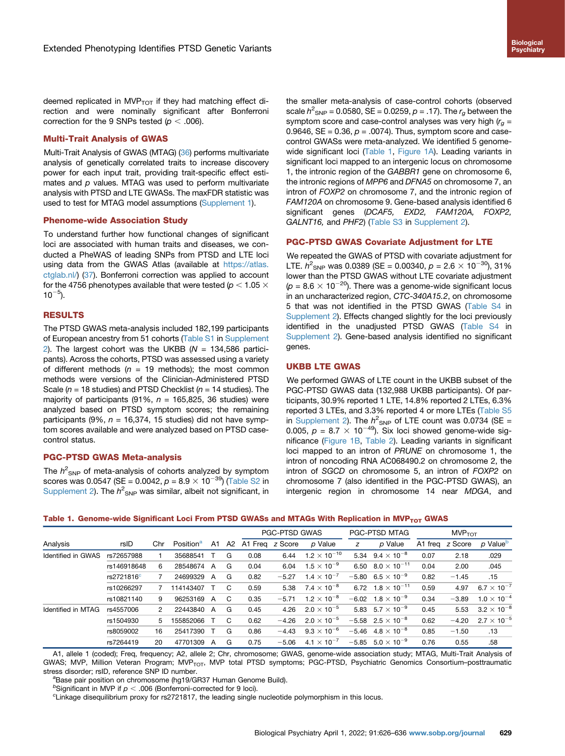deemed replicated in MVP $_{\text{TOT}}$  if they had matching effect direction and were nominally significant after Bonferroni correction for the 9 SNPs tested  $(p < .006)$ .

## Multi-Trait Analysis of GWAS

Multi-Trait Analysis of GWAS (MTAG) [\(36](#page-9-34)) performs multivariate analysis of genetically correlated traits to increase discovery power for each input trait, providing trait-specific effect estimates and  $p$  values. MTAG was used to perform multivariate analysis with PTSD and LTE GWASs. The maxFDR statistic was used to test for MTAG model assumptions ([Supplement 1\)](#page-10-0).

#### Phenome-wide Association Study

To understand further how functional changes of significant loci are associated with human traits and diseases, we conducted a PheWAS of leading SNPs from PTSD and LTE loci using data from the GWAS Atlas (available at [https://atlas.](https://atlas.ctglab.nl/) [ctglab.nl/\)](https://atlas.ctglab.nl/) [\(37\)](#page-9-35). Bonferroni correction was applied to account for the 4756 phenotypes available that were tested ( $p < 1.05 \times$  $10^{-5}$ ).

# RESULTS

The PTSD GWAS meta-analysis included 182,199 participants of European ancestry from 51 cohorts ([Table S1](#page-10-0) in [Supplement](#page-10-0) [2](#page-10-0)). The largest cohort was the UKBB ( $N = 134,586$  participants). Across the cohorts, PTSD was assessed using a variety of different methods ( $n = 19$  methods); the most common methods were versions of the Clinician-Administered PTSD Scale ( $n = 18$  studies) and PTSD Checklist ( $n = 14$  studies). The majority of participants (91%,  $n = 165,825,36$  studies) were analyzed based on PTSD symptom scores; the remaining participants (9%,  $n = 16,374, 15$  studies) did not have symptom scores available and were analyzed based on PTSD casecontrol status.

# PGC-PTSD GWAS Meta-analysis

The  $h^2_{\rm\,SNP}$  of meta-analysis of cohorts analyzed by symptom scores was 0.0547 (SE = 0.0042,  $p = 8.9 \times 10^{-39}$ ) [\(Table S2](#page-10-0) in [Supplement 2](#page-10-0)). The  $h^2$ <sub>SNP</sub> was similar, albeit not significant, in

the smaller meta-analysis of case-control cohorts (observed scale  $h^2$ <sub>SNP</sub> = 0.0580, SE = 0.0259,  $p$  = .17). The  $r_g$  between the symptom score and case-control analyses was very high  $(r_a =$ 0.9646, SE =  $0.36$ ,  $p = .0074$ ). Thus, symptom score and casecontrol GWASs were meta-analyzed. We identified 5 genome-wide significant loci ([Table 1](#page-3-0), [Figure 1A](#page-4-0)). Leading variants in significant loci mapped to an intergenic locus on chromosome 1, the intronic region of the GABBR1 gene on chromosome 6, the intronic regions of MPP6 and DFNA5 on chromosome 7, an intron of FOXP2 on chromosome 7, and the intronic region of FAM120A on chromosome 9. Gene-based analysis identified 6 significant genes (DCAF5, EXD2, FAM120A, FOXP2, GALNT16, and PHF2) [\(Table S3](#page-10-0) in [Supplement 2](#page-10-0)).

# PGC-PTSD GWAS Covariate Adjustment for LTE

We repeated the GWAS of PTSD with covariate adjustment for LTE.  $h^2_{\rm SNP}$  was 0.0389 (SE = 0.00340,  $\rho$  = 2.6  $\times$  10<sup>-30</sup>), 31% lower than the PTSD GWAS without LTE covariate adjustment ( $p = 8.6 \times 10^{-20}$ ). There was a genome-wide significant locus in an uncharacterized region, CTC-340A15.2, on chromosome 5 that was not identified in the PTSD GWAS ([Table S4](#page-10-0) in [Supplement 2](#page-10-0)). Effects changed slightly for the loci previously identified in the unadjusted PTSD GWAS [\(Table S4](#page-10-0) in [Supplement 2\)](#page-10-0). Gene-based analysis identified no significant genes.

# UKBB LTE GWAS

We performed GWAS of LTE count in the UKBB subset of the PGC-PTSD GWAS data (132,988 UKBB participants). Of participants, 30.9% reported 1 LTE, 14.8% reported 2 LTEs, 6.3% reported 3 LTEs, and 3.3% reported 4 or more LTEs ([Table S5](#page-10-0) in [Supplement 2](#page-10-0)). The  $h^2$ <sub>SNP</sub> of LTE count was 0.0734 (SE = 0.005,  $p = 8.7 \times 10^{-49}$ ). Six loci showed genome-wide significance ([Figure 1B,](#page-4-0) [Table 2\)](#page-4-1). Leading variants in significant loci mapped to an intron of PRUNE on chromosome 1, the intron of noncoding RNA AC068490.2 on chromosome 2, the intron of SGCD on chromosome 5, an intron of FOXP2 on chromosome 7 (also identified in the PGC-PTSD GWAS), an intergenic region in chromosome 14 near MDGA, and

<span id="page-3-0"></span>

|  | Table 1. Genome-wide Significant Loci From PTSD GWASs and MTAGs With Replication in MVP <sub>TOT</sub> GWAS |  |  |  |  |  |  |  |  |
|--|-------------------------------------------------------------------------------------------------------------|--|--|--|--|--|--|--|--|
|--|-------------------------------------------------------------------------------------------------------------|--|--|--|--|--|--|--|--|

|                    |                        |     |                       |    |    | <b>PGC-PTSD GWAS</b> |         | <b>PGC-PTSD MTAG</b>  |         | $MVP_{TOT}$                           |      |                 |                      |
|--------------------|------------------------|-----|-----------------------|----|----|----------------------|---------|-----------------------|---------|---------------------------------------|------|-----------------|----------------------|
| Analysis           | rsID                   | Chr | Position <sup>a</sup> | A1 | A2 | A1 Freq z Score      |         | p Value               | z       | p Value                               |      | A1 freq z Score | p Value <sup>b</sup> |
| Identified in GWAS | rs72657988             |     | 35688541              |    | G  | 0.08                 | 6.44    | $1.2 \times 10^{-10}$ |         | 5.34 9.4 $\times$ 10 <sup>-8</sup>    | 0.07 | 2.18            | .029                 |
|                    | rs146918648            | 6   | 28548674              | A  | G  | 0.04                 | 6.04    | $1.5\times10^{-9}$    |         | 6.50 $8.0 \times 10^{-11}$            | 0.04 | 2.00            | .045                 |
|                    | rs2721816 <sup>c</sup> |     | 24699329              | A  | G  | 0.82                 | $-5.27$ | $1.4 \times 10^{-7}$  |         | $-5.80$ 6.5 $\times$ 10 <sup>-9</sup> | 0.82 | $-1.45$         | .15                  |
|                    | rs10266297             |     | 114143407             |    | C  | 0.59                 | 5.38    | $7.4\times10^{-8}$    | 6.72    | $1.8\times10^{-11}$                   | 0.59 | 4.97            | $6.7 \times 10^{-7}$ |
|                    | rs10821140             | 9   | 96253169              | A  | C  | 0.35                 | $-5.71$ | $1.2 \times 10^{-8}$  | $-6.02$ | 1.8 $\times$ 10 $^{-9}$               | 0.34 | $-3.89$         | $1.0 \times 10^{-4}$ |
| Identified in MTAG | rs4557006              | 2   | 22443840              | A  | G  | 0.45                 | 4.26    | $2.0 \times 10^{-5}$  |         | 5.83 $5.7 \times 10^{-9}$             | 0.45 | 5.53            | $3.2 \times 10^{-8}$ |
|                    | rs1504930              | 5   | 155852066             |    | C  | 0.62                 | $-4.26$ | $2.0 \times 10^{-5}$  |         | $-5.58$ 2.5 $\times$ 10 <sup>-8</sup> | 0.62 | $-4.20$         | $2.7 \times 10^{-5}$ |
|                    | rs8059002              | 16  | 25417390              |    | G  | 0.86                 | $-4.43$ | $9.3 \times 10^{-6}$  |         | $-5.46$ 4.8 $\times$ 10 <sup>-8</sup> | 0.85 | $-1.50$         | .13                  |
|                    | rs7264419              | 20  | 47701309              | A  | G  | 0.75                 | $-5.06$ | $4.1 \times 10^{-7}$  |         | $-5.85$ 5.0 $\times$ 10 <sup>-9</sup> | 0.76 | 0.55            | .58                  |

A1, allele 1 (coded); Freq, frequency; A2, allele 2; Chr, chromosome; GWAS, genome-wide association study; MTAG, Multi-Trait Analysis of GWAS; MVP, Million Veteran Program; MVP<sub>TOT</sub>, MVP total PTSD symptoms; PGC-PTSD, Psychiatric Genomics Consortium–posttraumatic stress disorder; rsID, reference SNP ID number.

<span id="page-3-1"></span><sup>a</sup>Base pair position on chromosome (hg19/GR37 Human Genome Build).

<span id="page-3-2"></span> $b^b$ Significant in MVP if  $p < .006$  (Bonferroni-corrected for 9 loci).

<span id="page-3-3"></span> $c$ Linkage disequilibrium proxy for rs2721817, the leading single nucleotide polymorphism in this locus.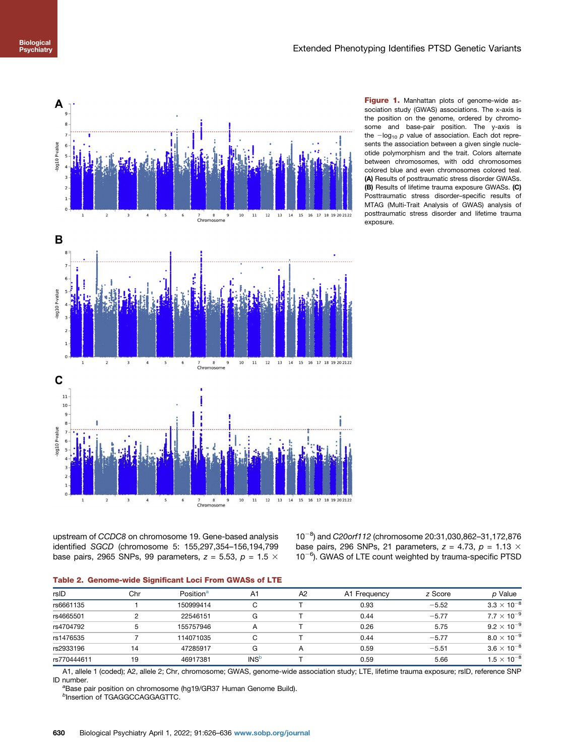<span id="page-4-0"></span>

Figure 1. Manhattan plots of genome-wide association study (GWAS) associations. The x-axis is the position on the genome, ordered by chromosome and base-pair position. The y-axis is the  $-\log_{10} p$  value of association. Each dot represents the association between a given single nucleotide polymorphism and the trait. Colors alternate between chromosomes, with odd chromosomes colored blue and even chromosomes colored teal. (A) Results of posttraumatic stress disorder GWASs. (B) Results of lifetime trauma exposure GWASs. (C) Posttraumatic stress disorder–specific results of MTAG (Multi-Trait Analysis of GWAS) analysis of posttraumatic stress disorder and lifetime trauma exposure.

upstream of CCDC8 on chromosome 19. Gene-based analysis identified SGCD (chromosome 5: 155,297,354–156,194,799 base pairs, 2965 SNPs, 99 parameters,  $z = 5.53$ ,  $p = 1.5 \times$ 

10<sup>-8</sup>) and C20orf112 (chromosome 20:31,030,862-31,172,876 base pairs, 296 SNPs, 21 parameters,  $z = 4.73$ ,  $p = 1.13 \times$  $10^{-6}$ ). GWAS of LTE count weighted by trauma-specific PTSD

# <span id="page-4-1"></span>Table 2. Genome-wide Significant Loci From GWASs of LTE

| rsID        | Chr | Position <sup>a</sup> | A1                      | A2 | A1 Frequency | z Score | p Value              |
|-------------|-----|-----------------------|-------------------------|----|--------------|---------|----------------------|
| rs6661135   |     | 150999414             | C                       |    | 0.93         | $-5.52$ | $3.3 \times 10^{-8}$ |
| rs4665501   |     | 22546151              | G                       |    | 0.44         | $-5.77$ | $7.7 \times 10^{-9}$ |
| rs4704792   |     | 155757946             | А                       |    | 0.26         | 5.75    | $9.2 \times 10^{-9}$ |
| rs1476535   |     | 114071035             | C                       |    | 0.44         | $-5.77$ | $8.0 \times 10^{-9}$ |
| rs2933196   | 14  | 47285917              | G                       | A  | 0.59         | $-5.51$ | $3.6 \times 10^{-8}$ |
| rs770444611 | 19  | 46917381              | <b>INS</b> <sup>b</sup> |    | 0.59         | 5.66    | $1.5 \times 10^{-8}$ |

A1, allele 1 (coded); A2, allele 2; Chr, chromosome; GWAS, genome-wide association study; LTE, lifetime trauma exposure; rsID, reference SNP ID number.

<span id="page-4-3"></span><span id="page-4-2"></span><sup>a</sup>Base pair position on chromosome (hg19/GR37 Human Genome Build).

<sup>b</sup>Insertion of TGAGGCCAGGAGTTC.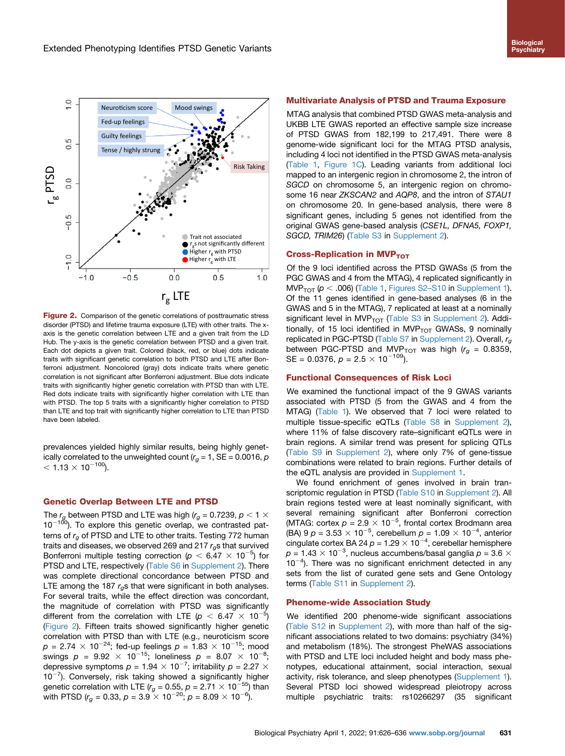<span id="page-5-0"></span>

Figure 2. Comparison of the genetic correlations of posttraumatic stress disorder (PTSD) and lifetime trauma exposure (LTE) with other traits. The xaxis is the genetic correlation between LTE and a given trait from the LD Hub. The y-axis is the genetic correlation between PTSD and a given trait. Each dot depicts a given trait. Colored (black, red, or blue) dots indicate traits with significant genetic correlation to both PTSD and LTE after Bonferroni adjustment. Noncolored (gray) dots indicate traits where genetic correlation is not significant after Bonferroni adjustment. Blue dots indicate traits with significantly higher genetic correlation with PTSD than with LTE. Red dots indicate traits with significantly higher correlation with LTE than with PTSD. The top 5 traits with a significantly higher correlation to PTSD than LTE and top trait with significantly higher correlation to LTE than PTSD have been labeled.

prevalences yielded highly similar results, being highly genetically correlated to the unweighted count  $(r_a = 1, SE = 0.0016, p$  $<$  1.13  $\times$  10<sup>-100</sup>).

#### Genetic Overlap Between LTE and PTSD

The  $r_a$  between PTSD and LTE was high ( $r_g$  = 0.7239,  $p < 1 \times$  $10^{-100}$ ). To explore this genetic overlap, we contrasted patterns of  $r_a$  of PTSD and LTE to other traits. Testing 772 human traits and diseases, we observed 269 and 217  $r<sub>q</sub>$ s that survived Bonferroni multiple testing correction ( $p < 6.47 \times 10^{-5}$ ) for PTSD and LTE, respectively ([Table S6](#page-10-0) in [Supplement 2](#page-10-0)). There was complete directional concordance between PTSD and LTE among the 187  $r_g$ s that were significant in both analyses. For several traits, while the effect direction was concordant, the magnitude of correlation with PTSD was significantly different from the correlation with LTE ( $p$  < 6.47  $\times$  10<sup>-5</sup>) ([Figure 2](#page-5-0)). Fifteen traits showed significantly higher genetic correlation with PTSD than with LTE (e.g., neuroticism score  $p = 2.74 \times 10^{-24}$ ; fed-up feelings  $p = 1.83 \times 10^{-15}$ ; mood swings  $p$  = 9.92  $\times$  10<sup>-15</sup>; loneliness  $p$  = 8.07  $\times$  10<sup>-8</sup>; depressive symptoms  $p = 1.94 \times 10^{-7}$ ; irritability  $p = 2.27 \times$  $10^{-7}$ ). Conversely, risk taking showed a significantly higher genetic correlation with LTE ( $r_g$  = 0.55,  $p = 2.71 \times 10^{-55}$ ) than with PTSD ( $r_g$  = 0.33,  $p = 3.9 \times 10^{-20}$ ;  $p = 8.09 \times 10^{-6}$ ).

# Multivariate Analysis of PTSD and Trauma Exposure

MTAG analysis that combined PTSD GWAS meta-analysis and UKBB LTE GWAS reported an effective sample size increase of PTSD GWAS from 182,199 to 217,491. There were 8 genome-wide significant loci for the MTAG PTSD analysis, including 4 loci not identified in the PTSD GWAS meta-analysis [\(Table 1,](#page-3-0) [Figure 1C\)](#page-4-0). Leading variants from additional loci mapped to an intergenic region in chromosome 2, the intron of SGCD on chromosome 5, an intergenic region on chromosome 16 near ZKSCAN2 and AQP8, and the intron of STAU1 on chromosome 20. In gene-based analysis, there were 8 significant genes, including 5 genes not identified from the original GWAS gene-based analysis (CSE1L, DFNA5, FOXP1, SGCD, TRIM26) ([Table S3](#page-10-0) in [Supplement 2](#page-10-0)).

# Cross-Replication in MVP<sub>TOT</sub>

Of the 9 loci identified across the PTSD GWASs (5 from the PGC GWAS and 4 from the MTAG), 4 replicated significantly in MVP<sub>TOT</sub> ( $p < .006$ ) [\(Table 1](#page-3-0), [Figures S2](#page-10-0)–S10 in [Supplement 1\)](#page-10-0). Of the 11 genes identified in gene-based analyses (6 in the GWAS and 5 in the MTAG), 7 replicated at least at a nominally significant level in MVP $_{TOT}$  [\(Table S3](#page-10-0) in [Supplement 2](#page-10-0)). Additionally, of 15 loci identified in  $MVP_{TOT}$  GWASs, 9 nominally replicated in PGC-PTSD [\(Table S7](#page-10-0) in [Supplement 2\)](#page-10-0). Overall,  $r_g$ between PGC-PTSD and MVP<sub>TOT</sub> was high ( $r_a$  = 0.8359, SE = 0.0376,  $p = 2.5 \times 10^{-109}$ ).

# Functional Consequences of Risk Loci

We examined the functional impact of the 9 GWAS variants associated with PTSD (5 from the GWAS and 4 from the MTAG) [\(Table 1\)](#page-3-0). We observed that 7 loci were related to multiple tissue-specific eQTLs [\(Table S8](#page-10-0) in [Supplement 2\)](#page-10-0), where 11% of false discovery rate–significant eQTLs were in brain regions. A similar trend was present for splicing QTLs [\(Table S9](#page-10-0) in [Supplement 2](#page-10-0)), where only 7% of gene-tissue combinations were related to brain regions. Further details of the eQTL analysis are provided in [Supplement 1.](#page-10-0)

We found enrichment of genes involved in brain tran-scriptomic regulation in PTSD ([Table S10](#page-10-0) in [Supplement 2](#page-10-0)). All brain regions tested were at least nominally significant, with several remaining significant after Bonferroni correction (MTAG: cortex  $p = 2.9 \times 10^{-5}$ , frontal cortex Brodmann area (BA) 9  $p = 3.53 \times 10^{-5}$ , cerebellum  $p = 1.09 \times 10^{-4}$ , anterior cingulate cortex BA 24  $\rho$  = 1.29  $\times$  10<sup>-4</sup>, cerebellar hemisphere  $p$  = 1.43  $\times$  10<sup>-3</sup>, nucleus accumbens/basal ganglia  $p$  = 3.6  $\times$  $10^{-4}$ ). There was no significant enrichment detected in any sets from the list of curated gene sets and Gene Ontology terms ([Table S11](#page-10-0) in [Supplement 2\)](#page-10-0).

## Phenome-wide Association Study

We identified 200 phenome-wide significant associations [\(Table S12](#page-10-0) in [Supplement 2\)](#page-10-0), with more than half of the significant associations related to two domains: psychiatry (34%) and metabolism (18%). The strongest PheWAS associations with PTSD and LTE loci included height and body mass phenotypes, educational attainment, social interaction, sexual activity, risk tolerance, and sleep phenotypes ([Supplement 1\)](#page-10-0). Several PTSD loci showed widespread pleiotropy across multiple psychiatric traits: rs10266297 (35 significant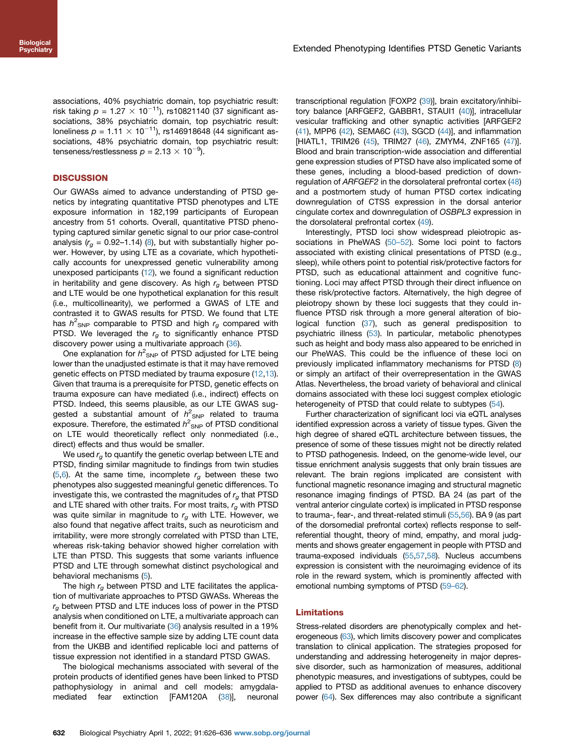associations, 40% psychiatric domain, top psychiatric result: risk taking  $p = 1.27 \times 10^{-11}$ ), rs10821140 (37 significant associations, 38% psychiatric domain, top psychiatric result: loneliness  $p = 1.11 \times 10^{-11}$ , rs146918648 (44 significant associations, 48% psychiatric domain, top psychiatric result: tenseness/restlessness  $\rho$  = 2.13  $\times$  10<sup>-9</sup>).

# **DISCUSSION**

Our GWASs aimed to advance understanding of PTSD genetics by integrating quantitative PTSD phenotypes and LTE exposure information in 182,199 participants of European ancestry from 51 cohorts. Overall, quantitative PTSD phenotyping captured similar genetic signal to our prior case-control analysis ( $r_a = 0.92-1.14$ ) [\(8\)](#page-9-6), but with substantially higher power. However, by using LTE as a covariate, which hypothetically accounts for unexpressed genetic vulnerability among unexposed participants ([12](#page-9-10)), we found a significant reduction in heritability and gene discovery. As high  $r_q$  between PTSD and LTE would be one hypothetical explanation for this result (i.e., multicollinearity), we performed a GWAS of LTE and contrasted it to GWAS results for PTSD. We found that LTE has  $h^2_{SNP}$  comparable to PTSD and high  $r_g$  compared with PTSD. We leveraged the  $r_q$  to significantly enhance PTSD discovery power using a multivariate approach ([36](#page-9-34)).

One explanation for  $h^2_{SNP}$  of PTSD adjusted for LTE being lower than the unadjusted estimate is that it may have removed genetic effects on PTSD mediated by trauma exposure [\(12](#page-9-10),[13](#page-9-11)). Given that trauma is a prerequisite for PTSD, genetic effects on trauma exposure can have mediated (i.e., indirect) effects on PTSD. Indeed, this seems plausible, as our LTE GWAS suggested a substantial amount of  $h^2_{SNP}$  related to trauma exposure. Therefore, the estimated  $h^2_{SNP}$  of PTSD conditional on LTE would theoretically reflect only nonmediated (i.e., direct) effects and thus would be smaller.

We used  $r_q$  to quantify the genetic overlap between LTE and PTSD, finding similar magnitude to findings from twin studies  $(5,6)$  $(5,6)$  $(5,6)$ . At the same time, incomplete  $r<sub>q</sub>$  between these two phenotypes also suggested meaningful genetic differences. To investigate this, we contrasted the magnitudes of  $r_a$  that PTSD and LTE shared with other traits. For most traits,  $r_a$  with PTSD was quite similar in magnitude to  $r_q$  with LTE. However, we also found that negative affect traits, such as neuroticism and irritability, were more strongly correlated with PTSD than LTE, whereas risk-taking behavior showed higher correlation with LTE than PTSD. This suggests that some variants influence PTSD and LTE through somewhat distinct psychological and behavioral mechanisms ([5](#page-9-4)).

The high  $r_a$  between PTSD and LTE facilitates the application of multivariate approaches to PTSD GWASs. Whereas the  $r_{q}$  between PTSD and LTE induces loss of power in the PTSD analysis when conditioned on LTE, a multivariate approach can benefit from it. Our multivariate ([36\)](#page-9-34) analysis resulted in a 19% increase in the effective sample size by adding LTE count data from the UKBB and identified replicable loci and patterns of tissue expression not identified in a standard PTSD GWAS.

The biological mechanisms associated with several of the protein products of identified genes have been linked to PTSD pathophysiology in animal and cell models: amygdalamediated fear extinction [FAM120A [\(38\)](#page-9-37)], neuronal transcriptional regulation [FOXP2 ([39\)](#page-9-38)], brain excitatory/inhibitory balance [ARFGEF2, GABBR1, STAUI1 [\(40\)](#page-10-1)], intracellular vesicular trafficking and other synaptic activities [ARFGEF2 [\(41\)](#page-10-2), MPP6 [\(42\)](#page-10-3), SEMA6C ([43](#page-10-4)), SGCD ([44\)](#page-10-5)], and inflammation [HIATL1, TRIM26 ([45](#page-10-6)), TRIM27 ([46](#page-10-7)), ZMYM4, ZNF165 [\(47](#page-10-8))]. Blood and brain transcription-wide association and differential gene expression studies of PTSD have also implicated some of these genes, including a blood-based prediction of downregulation of ARFGEF2 in the dorsolateral prefrontal cortex [\(48\)](#page-10-9) and a postmortem study of human PTSD cortex indicating downregulation of CTSS expression in the dorsal anterior cingulate cortex and downregulation of OSBPL3 expression in the dorsolateral prefrontal cortex [\(49](#page-10-10)).

Interestingly, PTSD loci show widespread pleiotropic associations in PheWAS [\(50](#page-10-11)–52). Some loci point to factors associated with existing clinical presentations of PTSD (e.g., sleep), while others point to potential risk/protective factors for PTSD, such as educational attainment and cognitive functioning. Loci may affect PTSD through their direct influence on these risk/protective factors. Alternatively, the high degree of pleiotropy shown by these loci suggests that they could influence PTSD risk through a more general alteration of biological function ([37](#page-9-35)), such as general predisposition to psychiatric illness ([53](#page-10-12)). In particular, metabolic phenotypes such as height and body mass also appeared to be enriched in our PheWAS. This could be the influence of these loci on previously implicated inflammatory mechanisms for PTSD [\(8\)](#page-9-6) or simply an artifact of their overrepresentation in the GWAS Atlas. Nevertheless, the broad variety of behavioral and clinical domains associated with these loci suggest complex etiologic heterogeneity of PTSD that could relate to subtypes ([54](#page-10-13)).

Further characterization of significant loci via eQTL analyses identified expression across a variety of tissue types. Given the high degree of shared eQTL architecture between tissues, the presence of some of these tissues might not be directly related to PTSD pathogenesis. Indeed, on the genome-wide level, our tissue enrichment analysis suggests that only brain tissues are relevant. The brain regions implicated are consistent with functional magnetic resonance imaging and structural magnetic resonance imaging findings of PTSD. BA 24 (as part of the ventral anterior cingulate cortex) is implicated in PTSD response to trauma-, fear-, and threat-related stimuli ([55](#page-10-14)[,56](#page-10-15)). BA 9 (as part of the dorsomedial prefrontal cortex) reflects response to selfreferential thought, theory of mind, empathy, and moral judgments and shows greater engagement in people with PTSD and trauma-exposed individuals [\(55](#page-10-14),[57,](#page-10-16)[58](#page-10-17)). Nucleus accumbens expression is consistent with the neuroimaging evidence of its role in the reward system, which is prominently affected with emotional numbing symptoms of PTSD [\(59](#page-10-18)–62).

# Limitations

Stress-related disorders are phenotypically complex and heterogeneous [\(63\)](#page-10-19), which limits discovery power and complicates translation to clinical application. The strategies proposed for understanding and addressing heterogeneity in major depressive disorder, such as harmonization of measures, additional phenotypic measures, and investigations of subtypes, could be applied to PTSD as additional avenues to enhance discovery power [\(64](#page-10-20)). Sex differences may also contribute a significant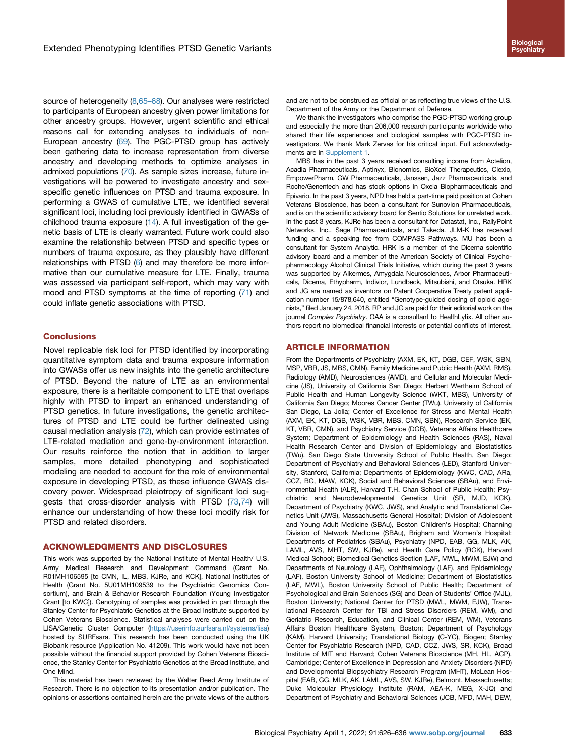source of heterogeneity ([8](#page-9-6),65–[68](#page-10-21)). Our analyses were restricted to participants of European ancestry given power limitations for other ancestry groups. However, urgent scientific and ethical reasons call for extending analyses to individuals of non-European ancestry [\(69](#page-10-22)). The PGC-PTSD group has actively been gathering data to increase representation from diverse ancestry and developing methods to optimize analyses in admixed populations ([70\)](#page-10-23). As sample sizes increase, future investigations will be powered to investigate ancestry and sexspecific genetic influences on PTSD and trauma exposure. In performing a GWAS of cumulative LTE, we identified several significant loci, including loci previously identified in GWASs of childhood trauma exposure ([14\)](#page-9-12). A full investigation of the genetic basis of LTE is clearly warranted. Future work could also examine the relationship between PTSD and specific types or numbers of trauma exposure, as they plausibly have different relationships with PTSD ([6](#page-9-36)) and may therefore be more informative than our cumulative measure for LTE. Finally, trauma was assessed via participant self-report, which may vary with mood and PTSD symptoms at the time of reporting ([71\)](#page-10-24) and could inflate genetic associations with PTSD.

## **Conclusions**

Novel replicable risk loci for PTSD identified by incorporating quantitative symptom data and trauma exposure information into GWASs offer us new insights into the genetic architecture of PTSD. Beyond the nature of LTE as an environmental exposure, there is a heritable component to LTE that overlaps highly with PTSD to impart an enhanced understanding of PTSD genetics. In future investigations, the genetic architectures of PTSD and LTE could be further delineated using causal mediation analysis [\(72\)](#page-10-25), which can provide estimates of LTE-related mediation and gene-by-environment interaction. Our results reinforce the notion that in addition to larger samples, more detailed phenotyping and sophisticated modeling are needed to account for the role of environmental exposure in developing PTSD, as these influence GWAS discovery power. Widespread pleiotropy of significant loci sug-gests that cross-disorder analysis with PTSD ([73](#page-10-26)[,74\)](#page-10-27) will enhance our understanding of how these loci modify risk for PTSD and related disorders.

# ACKNOWLEDGMENTS AND DISCLOSURES

This work was supported by the National Institute of Mental Health/ U.S. Army Medical Research and Development Command (Grant No. R01MH106595 [to CMN, IL, MBS, KJRe, and KCK], National Institutes of Health (Grant No. 5U01MH109539 to the Psychiatric Genomics Consortium), and Brain & Behavior Research Foundation (Young Investigator Grant [to KWC]). Genotyping of samples was provided in part through the Stanley Center for Psychiatric Genetics at the Broad Institute supported by Cohen Veterans Bioscience. Statistical analyses were carried out on the LISA/Genetic Cluster Computer [\(https://userinfo.surfsara.nl/systems/lisa\)](https://userinfo.surfsara.nl/systems/lisa) hosted by SURFsara. This research has been conducted using the UK Biobank resource (Application No. 41209). This work would have not been possible without the financial support provided by Cohen Veterans Bioscience, the Stanley Center for Psychiatric Genetics at the Broad Institute, and One Mind.

This material has been reviewed by the Walter Reed Army Institute of Research. There is no objection to its presentation and/or publication. The opinions or assertions contained herein are the private views of the authors

and are not to be construed as official or as reflecting true views of the U.S. Department of the Army or the Department of Defense.

We thank the investigators who comprise the PGC-PTSD working group and especially the more than 206,000 research participants worldwide who shared their life experiences and biological samples with PGC-PTSD investigators. We thank Mark Zervas for his critical input. Full acknowledgments are in [Supplement 1](#page-10-0).

MBS has in the past 3 years received consulting income from Actelion, Acadia Pharmaceuticals, Aptinyx, Bionomics, BioXcel Therapeutics, Clexio, EmpowerPharm, GW Pharmaceuticals, Janssen, Jazz Pharmaceuticals, and Roche/Genentech and has stock options in Oxeia Biopharmaceuticals and Epivario. In the past 3 years, NPD has held a part-time paid position at Cohen Veterans Bioscience, has been a consultant for Sunovion Pharmaceuticals, and is on the scientific advisory board for Sentio Solutions for unrelated work. In the past 3 years, KJRe has been a consultant for Datastat, Inc., RallyPoint Networks, Inc., Sage Pharmaceuticals, and Takeda. JLM-K has received funding and a speaking fee from COMPASS Pathways. MU has been a consultant for System Analytic. HRK is a member of the Dicerna scientific advisory board and a member of the American Society of Clinical Psychopharmacology Alcohol Clinical Trials Initiative, which during the past 3 years was supported by Alkermes, Amygdala Neurosciences, Arbor Pharmaceuticals, Dicerna, Ethypharm, Indivior, Lundbeck, Mitsubishi, and Otsuka. HRK and JG are named as inventors on Patent Cooperative Treaty patent application number 15/878,640, entitled "Genotype-guided dosing of opioid agonists," filed January 24, 2018. RP and JG are paid for their editorial work on the journal Complex Psychiatry. OAA is a consultant to HealthLytix. All other authors report no biomedical financial interests or potential conflicts of interest.

#### ARTICLE INFORMATION

From the Departments of Psychiatry (AXM, EK, KT, DGB, CEF, WSK, SBN, MSP, VBR, JS, MBS, CMN), Family Medicine and Public Health (AXM, RMS), Radiology (AMD), Neurosciences (AMD), and Cellular and Molecular Medicine (JS), University of California San Diego; Herbert Wertheim School of Public Health and Human Longevity Science (WKT, MBS), University of California San Diego; Moores Cancer Center (TWu), University of California San Diego, La Jolla; Center of Excellence for Stress and Mental Health (AXM, EK, KT, DGB, WSK, VBR, MBS, CMN, SBN), Research Service (EK, KT, VBR, CMN), and Psychiatry Service (DGB), Veterans Affairs Healthcare System; Department of Epidemiology and Health Sciences (RAS), Naval Health Research Center and Division of Epidemiology and Biostatistics (TWu), San Diego State University School of Public Health, San Diego; Department of Psychiatry and Behavioral Sciences (LED), Stanford University, Stanford, California; Departments of Epidemiology (KWC, CAD, ARa, CCZ, BG, MAW, KCK), Social and Behavioral Sciences (SBAu), and Environmental Health (ALR), Harvard T.H. Chan School of Public Health; Psychiatric and Neurodevelopmental Genetics Unit (SR, MJD, KCK), Department of Psychiatry (KWC, JWS), and Analytic and Translational Genetics Unit (JWS), Massachusetts General Hospital; Division of Adolescent and Young Adult Medicine (SBAu), Boston Children's Hospital; Channing Division of Network Medicine (SBAu), Brigham and Women's Hospital; Departments of Pediatrics (SBAu), Psychiatry (NPD, EAB, GG, MLK, AK, LAML, AVS, MHT, SW, KJRe), and Health Care Policy (RCK), Harvard Medical School; Biomedical Genetics Section (LAF, MWL, MWM, EJW) and Departments of Neurology (LAF), Ophthalmology (LAF), and Epidemiology (LAF), Boston University School of Medicine; Department of Biostatistics (LAF, MWL), Boston University School of Public Health; Department of Psychological and Brain Sciences (SG) and Dean of Students' Office (MJL), Boston University; National Center for PTSD (MWL, MWM, EJW), Translational Research Center for TBI and Stress Disorders (REM, WM), and Geriatric Research, Education, and Clinical Center (REM, WM), Veterans Affairs Boston Healthcare System, Boston; Department of Psychology (KAM), Harvard University; Translational Biology (C-YC), Biogen; Stanley Center for Psychiatric Research (NPD, CAD, CCZ, JWS, SR, KCK), Broad Institute of MIT and Harvard; Cohen Veterans Bioscience (MH, HL, ACP), Cambridge; Center of Excellence in Depression and Anxiety Disorders (NPD) and Developmental Biopsychiatry Research Program (MHT), McLean Hospital (EAB, GG, MLK, AK, LAML, AVS, SW, KJRe), Belmont, Massachusetts; Duke Molecular Physiology Institute (RAM, AEA-K, MEG, X-JQ) and Department of Psychiatry and Behavioral Sciences (JCB, MFD, MAH, DEW,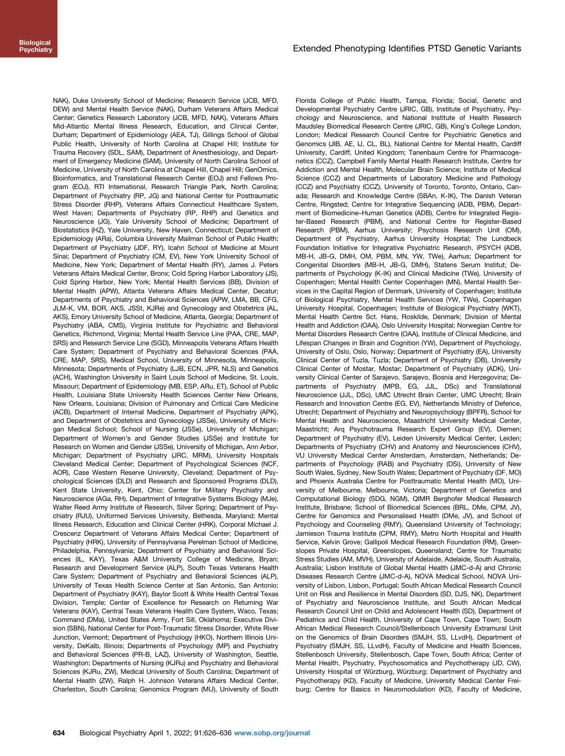NAK), Duke University School of Medicine; Research Service (JCB, MFD, DEW) and Mental Health Service (NAK), Durham Veterans Affairs Medical Center; Genetics Research Laboratory (JCB, MFD, NAK), Veterans Affairs Mid-Atlantic Mental Illness Research, Education, and Clinical Center, Durham; Department of Epidemiology (AEA, TJ), Gillings School of Global Public Health, University of North Carolina at Chapel Hill; Institute for Trauma Recovery (SDL, SAM), Department of Anesthesiology, and Department of Emergency Medicine (SAM), University of North Carolina School of Medicine, University of North Carolina at Chapel Hill, Chapel Hill; GenOmics, Bioinformatics, and Translational Research Center (EOJ) and Fellows Program (EOJ), RTI International, Research Triangle Park, North Carolina; Department of Psychiatry (RP, JG) and National Center for Posttraumatic Stress Disorder (RHP), Veterans Affairs Connecticut Healthcare System, West Haven; Departments of Psychiatry (RP, RHP) and Genetics and Neuroscience (JG), Yale University School of Medicine; Department of Biostatistics (HZ), Yale University, New Haven, Connecticut; Department of Epidemiology (ARa), Columbia University Mailman School of Public Health; Department of Psychiatry (JDF, RY), Icahn School of Medicine at Mount Sinai; Department of Psychiatry (CM, EV), New York University School of Medicine, New York; Department of Mental Health (RY), James J. Peters Veterans Affairs Medical Center, Bronx; Cold Spring Harbor Laboratory (JS), Cold Spring Harbor, New York; Mental Health Services (BB), Division of Mental Health (APW), Atlanta Veterans Affairs Medical Center, Decatur; Departments of Psychiatry and Behavioral Sciences (APW, LMA, BB, CFG, JLM-K, VM, BOR, AKS, JSSt, KJRe) and Gynecology and Obstetrics (AL, AKS), Emory University School of Medicine, Atlanta, Georgia; Department of Psychiatry (ABA, CMS), Virginia Institute for Psychiatric and Behavioral Genetics, Richmond, Virginia; Mental Health Service Line (PAA, CRE, MAP, SRS) and Research Service Line (SGD), Minneapolis Veterans Affairs Health Care System; Department of Psychiatry and Behavioral Sciences (PAA, CRE, MAP, SRS), Medical School, University of Minnesota, Minneapolis, Minnesota; Departments of Psychiatry (LJB, ECN, JPR, NLS) and Genetics (ACH), Washington University in Saint Louis School of Medicine, St. Louis, Missouri; Department of Epidemiology (MB, ESP, ARu, ET), School of Public Health, Louisiana State University Health Sciences Center New Orleans, New Orleans, Louisiana; Division of Pulmonary and Critical Care Medicine (ACB), Department of Internal Medicine, Department of Psychiatry (APK), and Department of Obstetrics and Gynecology (JSSe), University of Michigan Medical School; School of Nursing (JSSe), University of Michigan; Department of Women's and Gender Studies (JSSe) and Institute for Research on Women and Gender (JSSe), University of Michigan, Ann Arbor, Michigan; Department of Psychiatry (JRC, MRM), University Hospitals Cleveland Medical Center; Department of Psychological Sciences (NCF, AOR), Case Western Reserve University, Cleveland; Department of Psychological Sciences (DLD) and Research and Sponsored Programs (DLD), Kent State University, Kent, Ohio; Center for Military Psychiatry and Neuroscience (AGa, RH), Department of Integrative Systems Biology (MJe), Walter Reed Army Institute of Research, Silver Spring; Department of Psychiatry (RJU), Uniformed Services University, Bethesda, Maryland; Mental Illness Research, Education and Clinical Center (HRK), Corporal Michael J. Crescenz Department of Veterans Affairs Medical Center; Department of Psychiatry (HRK), University of Pennsylvania Perelman School of Medicine, Philadelphia, Pennsylvania; Department of Psychiatry and Behavioral Sciences (IL, KAY), Texas A&M University College of Medicine, Bryan; Research and Development Service (ALP), South Texas Veterans Health Care System; Department of Psychiatry and Behavioral Sciences (ALP), University of Texas Health Science Center at San Antonio, San Antonio; Department of Psychiatry (KAY), Baylor Scott & White Health Central Texas Division, Temple; Center of Excellence for Research on Returning War Veterans (KAY), Central Texas Veterans Health Care System, Waco, Texas; Command (DMa), United States Army, Fort Sill, Oklahoma; Executive Division (SBN), National Center for Post-Traumatic Stress Disorder, White River Junction, Vermont; Department of Psychology (HKO), Northern Illinois University, DeKalb, Illinois; Departments of Psychology (MP) and Psychiatry and Behavioral Sciences (PR-B, LAZ), University of Washington, Seattle, Washington; Departments of Nursing (KJRu) and Psychiatry and Behavioral Sciences (KJRu, ZW), Medical University of South Carolina; Department of Mental Health (ZW), Ralph H. Johnson Veterans Affairs Medical Center, Charleston, South Carolina; Genomics Program (MU), University of South

Florida College of Public Health, Tampa, Florida; Social, Genetic and Developmental Psychiatry Centre (JRIC, GB), Institute of Psychiatry, Psychology and Neuroscience, and National Institute of Health Research Maudsley Biomedical Research Centre (JRIC, GB), King's College London, London; Medical Research Council Centre for Psychiatric Genetics and Genomics (JIB, AE, IJ, CL, BL), National Centre for Mental Health, Cardiff University, Cardiff, United Kingdom; Tanenbaum Centre for Pharmacogenetics (CCZ), Campbell Family Mental Health Research Institute, Centre for Addiction and Mental Health, Molecular Brain Science; Institute of Medical Science (CCZ) and Departments of Laboratory Medicine and Pathology (CCZ) and Psychiatry (CCZ), University of Toronto, Toronto, Ontario, Canada; Research and Knowledge Centre (SBAn, K-IK), The Danish Veteran Centre, Ringsted; Centre for Integrative Sequencing (ADB, PBM), Department of Biomedicine–Human Genetics (ADB), Centre for Integrated Register-Based Research (PBM), and National Centre for Register-Based Research (PBM), Aarhus University; Psychosis Research Unit (OM), Department of Psychiatry, Aarhus University Hospital; The Lundbeck Foundation Initiative for Integrative Psychiatric Research, iPSYCH (ADB, MB-H, JB-G, DMH, OM, PBM, MN, YW, TWe), Aarhus; Department for Congenital Disorders (MB-H, JB-G, DMH), Statens Serum Institut; Departments of Psychology (K-IK) and Clinical Medicine (TWe), University of Copenhagen; Mental Health Center Copenhagen (MN), Mental Health Services in the Capital Region of Denmark, University of Copenhagen; Institute of Biological Psychiatry, Mental Health Services (YW, TWe), Copenhagen University Hospital, Copenhagen; Institute of Biological Psychiatry (WKT), Mental Health Centre Sct. Hans, Roskilde, Denmark; Division of Mental Health and Addiction (OAA), Oslo University Hospital; Norwegian Centre for Mental Disorders Research Centre (OAA), Institute of Clinical Medicine, and Lifespan Changes in Brain and Cognition (YW), Department of Psychology, University of Oslo, Oslo, Norway; Department of Psychiatry (EA), University Clinical Center of Tuzla, Tuzla; Department of Psychiatry (DB), University Clinical Center of Mostar, Mostar; Department of Psychiatry (ADK), University Clinical Center of Sarajevo, Sarajevo, Bosnia and Herzegovina; Departments of Psychiatry (MPB, EG, JJL, DSc) and Translational Neuroscience (JJL, DSc), UMC Utrecht Brain Center, UMC Utrecht; Brain Research and Innovation Centre (EG, EV), Netherlands Ministry of Defence, Utrecht; Department of Psychiatry and Neuropsychology (BPFR), School for Mental Health and Neuroscience, Maastricht University Medical Center, Maastricht; Arq Psychotrauma Research Expert Group (EV), Diemen; Department of Psychiatry (EV), Leiden University Medical Center, Leiden; Departments of Psychiatry (CHV) and Anatomy and Neurosciences (CHV), VU University Medical Center Amsterdam, Amsterdam, Netherlands; Departments of Psychology (RAB) and Psychiatry (DSi), University of New South Wales, Sydney, New South Wales; Department of Psychiatry (DF, MO) and Phoenix Australia Centre for Posttraumatic Mental Health (MO), University of Melbourne, Melbourne, Victoria; Department of Genetics and Computational Biology (SDG, NGM), QIMR Berghofer Medical Research Institute, Brisbane; School of Biomedical Sciences (BRL, DMe, CPM, JV), Centre for Genomics and Personalised Health (DMe, JV), and School of Psychology and Counseling (RMY), Queensland University of Technology; Jamieson Trauma Institute (CPM, RMY), Metro North Hospital and Health Service, Kelvin Grove; Gallipoli Medical Research Foundation (RM), Greenslopes Private Hospital, Greenslopes, Queensland; Centre for Traumatic Stress Studies (AM, MVH), University of Adelaide, Adelaide, South Australia, Australia; Lisbon Institute of Global Mental Health (JMC-d-A) and Chronic Diseases Research Centre (JMC-d-A), NOVA Medical School, NOVA University of Lisbon, Lisbon, Portugal; South African Medical Research Council Unit on Risk and Resilience in Mental Disorders (SD, DJS, NK), Department of Psychiatry and Neuroscience Institute, and South African Medical Research Council Unit on Child and Adolescent Health (SD), Department of Pediatrics and Child Health, University of Cape Town, Cape Town; South African Medical Research Council/Stellenbosch University Extramural Unit on the Genomics of Brain Disorders (SMJH, SS, LLvdH), Department of Psychiatry (SMJH, SS, LLvdH), Faculty of Medicine and Health Sciences, Stellenbosch University, Stellenbosch, Cape Town, South Africa; Center of Mental Health, Psychiatry, Psychosomatics and Psychotherapy (JD, CW), University Hospital of Würzburg, Würzburg; Department of Psychiatry and Psychotherapy (KD), Faculty of Medicine, University Medical Center Freiburg; Centre for Basics in Neuromodulation (KD), Faculty of Medicine,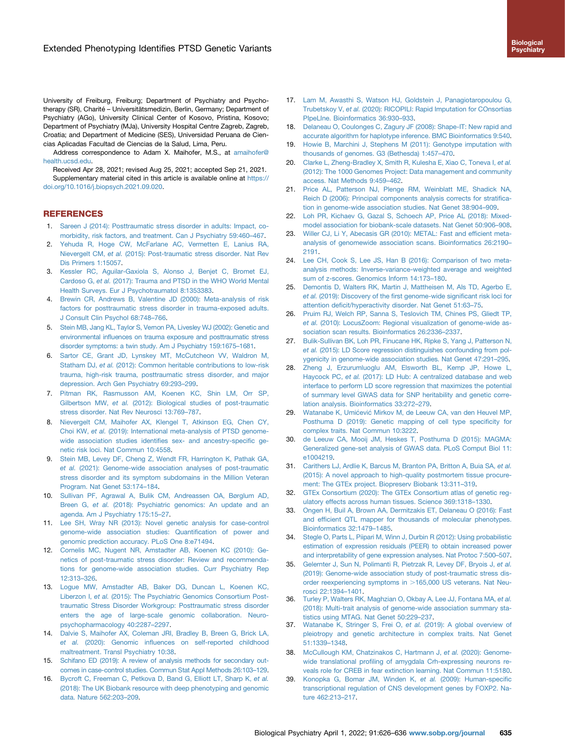University of Freiburg, Freiburg; Department of Psychiatry and Psychotherapy (SR), Charité – Universitätsmedizin, Berlin, Germany; Department of Psychiatry (AGo), University Clinical Center of Kosovo, Pristina, Kosovo; Department of Psychiatry (MJa), University Hospital Centre Zagreb, Zagreb, Croatia; and Department of Medicine (SES), Universidad Peruana de Ciencias Aplicadas Facultad de Ciencias de la Salud, Lima, Peru.

Address correspondence to Adam X. Maihofer, M.S., at [amaihofer@](mailto:amaihofer@health.ucsd.edu) [health.ucsd.edu](mailto:amaihofer@health.ucsd.edu).

Received Apr 28, 2021; revised Aug 25, 2021; accepted Sep 21, 2021. Supplementary material cited in this article is available online at [https://](https://doi.org/10.1016/j.biopsych.2021.09.020) [doi.org/10.1016/j.biopsych.2021.09.020](https://doi.org/10.1016/j.biopsych.2021.09.020).

# REFERENCES

- <span id="page-9-0"></span>1. [Sareen J \(2014\): Posttraumatic stress disorder in adults: Impact, co](http://refhub.elsevier.com/S0006-3223(21)01632-2/sref1)[morbidity, risk factors, and treatment. Can J Psychiatry 59:460](http://refhub.elsevier.com/S0006-3223(21)01632-2/sref1)–467.
- <span id="page-9-1"></span>2. [Yehuda R, Hoge CW, McFarlane AC, Vermetten E, Lanius RA,](http://refhub.elsevier.com/S0006-3223(21)01632-2/sref2) Nievergelt CM, et al. [\(2015\): Post-traumatic stress disorder. Nat Rev](http://refhub.elsevier.com/S0006-3223(21)01632-2/sref2) [Dis Primers 1:15057](http://refhub.elsevier.com/S0006-3223(21)01632-2/sref2).
- <span id="page-9-2"></span>3. [Kessler RC, Aguilar-Gaxiola S, Alonso J, Benjet C, Bromet EJ,](http://refhub.elsevier.com/S0006-3223(21)01632-2/sref3) Cardoso G, et al. [\(2017\): Trauma and PTSD in the WHO World Mental](http://refhub.elsevier.com/S0006-3223(21)01632-2/sref3) [Health Surveys. Eur J Psychotraumatol 8:1353383](http://refhub.elsevier.com/S0006-3223(21)01632-2/sref3).
- <span id="page-9-3"></span>4. [Brewin CR, Andrews B, Valentine JD \(2000\): Meta-analysis of risk](http://refhub.elsevier.com/S0006-3223(21)01632-2/sref4) [factors for posttraumatic stress disorder in trauma-exposed adults.](http://refhub.elsevier.com/S0006-3223(21)01632-2/sref4) [J Consult Clin Psychol 68:748](http://refhub.elsevier.com/S0006-3223(21)01632-2/sref4)–766.
- <span id="page-9-4"></span>5. [Stein MB, Jang KL, Taylor S, Vernon PA, Livesley WJ \(2002\): Genetic and](http://refhub.elsevier.com/S0006-3223(21)01632-2/sref5) environmental infl[uences on trauma exposure and posttraumatic stress](http://refhub.elsevier.com/S0006-3223(21)01632-2/sref5) [disorder symptoms: a twin study. Am J Psychiatry 159:1675](http://refhub.elsevier.com/S0006-3223(21)01632-2/sref5)–1681.
- <span id="page-9-36"></span>6. [Sartor CE, Grant JD, Lynskey MT, McCutcheon VV, Waldron M,](http://refhub.elsevier.com/S0006-3223(21)01632-2/sref6) Statham DJ, et al. [\(2012\): Common heritable contributions to low-risk](http://refhub.elsevier.com/S0006-3223(21)01632-2/sref6) [trauma, high-risk trauma, posttraumatic stress disorder, and major](http://refhub.elsevier.com/S0006-3223(21)01632-2/sref6) [depression. Arch Gen Psychiatry 69:293](http://refhub.elsevier.com/S0006-3223(21)01632-2/sref6)–299.
- <span id="page-9-5"></span>7. [Pitman RK, Rasmusson AM, Koenen KC, Shin LM, Orr SP,](http://refhub.elsevier.com/S0006-3223(21)01632-2/sref7) Gilbertson MW, et al. [\(2012\): Biological studies of post-traumatic](http://refhub.elsevier.com/S0006-3223(21)01632-2/sref7) [stress disorder. Nat Rev Neurosci 13:769](http://refhub.elsevier.com/S0006-3223(21)01632-2/sref7)–787.
- <span id="page-9-6"></span>8. [Nievergelt CM, Maihofer AX, Klengel T, Atkinson EG, Chen CY,](http://refhub.elsevier.com/S0006-3223(21)01632-2/sref8) Choi KW, et al. [\(2019\): International meta-analysis of PTSD genome](http://refhub.elsevier.com/S0006-3223(21)01632-2/sref8)[wide association studies identi](http://refhub.elsevier.com/S0006-3223(21)01632-2/sref8)fies sex- and ancestry-specific ge[netic risk loci. Nat Commun 10:4558.](http://refhub.elsevier.com/S0006-3223(21)01632-2/sref8)
- <span id="page-9-8"></span><span id="page-9-7"></span>9. [Stein MB, Levey DF, Cheng Z, Wendt FR, Harrington K, Pathak GA,](http://refhub.elsevier.com/S0006-3223(21)01632-2/sref9) et al. [\(2021\): Genome-wide association analyses of post-traumatic](http://refhub.elsevier.com/S0006-3223(21)01632-2/sref9) [stress disorder and its symptom subdomains in the Million Veteran](http://refhub.elsevier.com/S0006-3223(21)01632-2/sref9) [Program. Nat Genet 53:174](http://refhub.elsevier.com/S0006-3223(21)01632-2/sref9)–184.
- <span id="page-9-9"></span>10. [Sullivan PF, Agrawal A, Bulik CM, Andreassen OA, Børglum AD,](http://refhub.elsevier.com/S0006-3223(21)01632-2/sref10) Breen G, et al. [\(2018\): Psychiatric genomics: An update and an](http://refhub.elsevier.com/S0006-3223(21)01632-2/sref10) [agenda. Am J Psychiatry 175:15](http://refhub.elsevier.com/S0006-3223(21)01632-2/sref10)–27.
- <span id="page-9-10"></span>11. [Lee SH, Wray NR \(2013\): Novel genetic analysis for case-control](http://refhub.elsevier.com/S0006-3223(21)01632-2/sref11) [genome-wide association studies: Quanti](http://refhub.elsevier.com/S0006-3223(21)01632-2/sref11)fication of power and [genomic prediction accuracy. PLoS One 8:e71494](http://refhub.elsevier.com/S0006-3223(21)01632-2/sref11).
- <span id="page-9-11"></span>12. [Cornelis MC, Nugent NR, Amstadter AB, Koenen KC \(2010\): Ge](http://refhub.elsevier.com/S0006-3223(21)01632-2/sref12)[netics of post-traumatic stress disorder: Review and recommenda](http://refhub.elsevier.com/S0006-3223(21)01632-2/sref12)[tions for genome-wide association studies. Curr Psychiatry Rep](http://refhub.elsevier.com/S0006-3223(21)01632-2/sref12) [12:313](http://refhub.elsevier.com/S0006-3223(21)01632-2/sref12)–326.
- <span id="page-9-12"></span>13. [Logue MW, Amstadter AB, Baker DG, Duncan L, Koenen KC,](http://refhub.elsevier.com/S0006-3223(21)01632-2/sref13) Liberzon I, et al. [\(2015\): The Psychiatric Genomics Consortium Post](http://refhub.elsevier.com/S0006-3223(21)01632-2/sref13)[traumatic Stress Disorder Workgroup: Posttraumatic stress disorder](http://refhub.elsevier.com/S0006-3223(21)01632-2/sref13) [enters the age of large-scale genomic collaboration. Neuro](http://refhub.elsevier.com/S0006-3223(21)01632-2/sref13)[psychopharmacology 40:2287](http://refhub.elsevier.com/S0006-3223(21)01632-2/sref13)–2297.
- <span id="page-9-13"></span>14. [Dalvie S, Maihofer AX, Coleman JRI, Bradley B, Breen G, Brick LA,](http://refhub.elsevier.com/S0006-3223(21)01632-2/sref14) et al. (2020): Genomic infl[uences on self-reported childhood](http://refhub.elsevier.com/S0006-3223(21)01632-2/sref14) [maltreatment. Transl Psychiatry 10:38](http://refhub.elsevier.com/S0006-3223(21)01632-2/sref14).
- <span id="page-9-14"></span>15. [Schifano ED \(2019\): A review of analysis methods for secondary out](http://refhub.elsevier.com/S0006-3223(21)01632-2/sref15)[comes in case-control studies. Commun Stat Appl Methods 26:103](http://refhub.elsevier.com/S0006-3223(21)01632-2/sref15)–129.
- 16. [Bycroft C, Freeman C, Petkova D, Band G, Elliott LT, Sharp K,](http://refhub.elsevier.com/S0006-3223(21)01632-2/sref16) et al. [\(2018\): The UK Biobank resource with deep phenotyping and genomic](http://refhub.elsevier.com/S0006-3223(21)01632-2/sref16) [data. Nature 562:203](http://refhub.elsevier.com/S0006-3223(21)01632-2/sref16)–209.
- <span id="page-9-15"></span>17. [Lam M, Awasthi S, Watson HJ, Goldstein J, Panagiotaropoulou G,](http://refhub.elsevier.com/S0006-3223(21)01632-2/sref17) Trubetskoy V, et al. [\(2020\): RICOPILI: Rapid Imputation for COnsortias](http://refhub.elsevier.com/S0006-3223(21)01632-2/sref17) [PIpeLIne. Bioinformatics 36:930](http://refhub.elsevier.com/S0006-3223(21)01632-2/sref17)–933.
- <span id="page-9-16"></span>18. [Delaneau O, Coulonges C, Zagury JF \(2008\): Shape-IT: New rapid and](http://refhub.elsevier.com/S0006-3223(21)01632-2/sref18) [accurate algorithm for haplotype inference. BMC Bioinformatics 9:540](http://refhub.elsevier.com/S0006-3223(21)01632-2/sref18).
- <span id="page-9-17"></span>19. [Howie B, Marchini J, Stephens M \(2011\): Genotype imputation with](http://refhub.elsevier.com/S0006-3223(21)01632-2/sref19) [thousands of genomes. G3 \(Bethesda\) 1:457](http://refhub.elsevier.com/S0006-3223(21)01632-2/sref19)–470.
- <span id="page-9-18"></span>20. [Clarke L, Zheng-Bradley X, Smith R, Kulesha E, Xiao C, Toneva I,](http://refhub.elsevier.com/S0006-3223(21)01632-2/sref20) et al. [\(2012\): The 1000 Genomes Project: Data management and community](http://refhub.elsevier.com/S0006-3223(21)01632-2/sref20) [access. Nat Methods 9:459](http://refhub.elsevier.com/S0006-3223(21)01632-2/sref20)–462.
- <span id="page-9-19"></span>21. [Price AL, Patterson NJ, Plenge RM, Weinblatt ME, Shadick NA,](http://refhub.elsevier.com/S0006-3223(21)01632-2/sref21) [Reich D \(2006\): Principal components analysis corrects for strati](http://refhub.elsevier.com/S0006-3223(21)01632-2/sref21)fica[tion in genome-wide association studies. Nat Genet 38:904](http://refhub.elsevier.com/S0006-3223(21)01632-2/sref21)–909.
- <span id="page-9-20"></span>22. [Loh PR, Kichaev G, Gazal S, Schoech AP, Price AL \(2018\): Mixed](http://refhub.elsevier.com/S0006-3223(21)01632-2/sref22)[model association for biobank-scale datasets. Nat Genet 50:906](http://refhub.elsevier.com/S0006-3223(21)01632-2/sref22)–908.
- <span id="page-9-21"></span>23. [Willer CJ, Li Y, Abecasis GR \(2010\): METAL: Fast and ef](http://refhub.elsevier.com/S0006-3223(21)01632-2/sref23)ficient meta[analysis of genomewide association scans. Bioinformatics 26:2190](http://refhub.elsevier.com/S0006-3223(21)01632-2/sref23)– [2191](http://refhub.elsevier.com/S0006-3223(21)01632-2/sref23).
- <span id="page-9-22"></span>24. [Lee CH, Cook S, Lee JS, Han B \(2016\): Comparison of two meta](http://refhub.elsevier.com/S0006-3223(21)01632-2/sref24)[analysis methods: Inverse-variance-weighted average and weighted](http://refhub.elsevier.com/S0006-3223(21)01632-2/sref24) [sum of z-scores. Genomics Inform 14:173](http://refhub.elsevier.com/S0006-3223(21)01632-2/sref24)–180.
- <span id="page-9-23"></span>25. [Demontis D, Walters RK, Martin J, Mattheisen M, Als TD, Agerbo E,](http://refhub.elsevier.com/S0006-3223(21)01632-2/sref25) et al. [\(2019\): Discovery of the](http://refhub.elsevier.com/S0006-3223(21)01632-2/sref25) first genome-wide significant risk loci for attention defi[cit/hyperactivity disorder. Nat Genet 51:63](http://refhub.elsevier.com/S0006-3223(21)01632-2/sref25)–75.
- <span id="page-9-24"></span>26. [Pruim RJ, Welch RP, Sanna S, Teslovich TM, Chines PS, Gliedt TP,](http://refhub.elsevier.com/S0006-3223(21)01632-2/sref26) et al. [\(2010\): LocusZoom: Regional visualization of genome-wide as](http://refhub.elsevier.com/S0006-3223(21)01632-2/sref26)[sociation scan results. Bioinformatics 26:2336](http://refhub.elsevier.com/S0006-3223(21)01632-2/sref26)–2337.
- <span id="page-9-25"></span>27. [Bulik-Sullivan BK, Loh PR, Finucane HK, Ripke S, Yang J, Patterson N,](http://refhub.elsevier.com/S0006-3223(21)01632-2/sref27) et al. [\(2015\): LD Score regression distinguishes confounding from pol](http://refhub.elsevier.com/S0006-3223(21)01632-2/sref27)[ygenicity in genome-wide association studies. Nat Genet 47:291](http://refhub.elsevier.com/S0006-3223(21)01632-2/sref27)–295.
- <span id="page-9-26"></span>28. [Zheng J, Erzurumluoglu AM, Elsworth BL, Kemp JP, Howe L,](http://refhub.elsevier.com/S0006-3223(21)01632-2/sref28) Haycock PC, et al. [\(2017\): LD Hub: A centralized database and web](http://refhub.elsevier.com/S0006-3223(21)01632-2/sref28) [interface to perform LD score regression that maximizes the potential](http://refhub.elsevier.com/S0006-3223(21)01632-2/sref28) [of summary level GWAS data for SNP heritability and genetic corre](http://refhub.elsevier.com/S0006-3223(21)01632-2/sref28)[lation analysis. Bioinformatics 33:272](http://refhub.elsevier.com/S0006-3223(21)01632-2/sref28)–279.
- <span id="page-9-27"></span>29. Watanabe K, Umićević [Mirkov M, de Leeuw CA, van den Heuvel MP,](http://refhub.elsevier.com/S0006-3223(21)01632-2/sref29) [Posthuma D \(2019\): Genetic mapping of cell type speci](http://refhub.elsevier.com/S0006-3223(21)01632-2/sref29)ficity for [complex traits. Nat Commun 10:3222](http://refhub.elsevier.com/S0006-3223(21)01632-2/sref29).
- <span id="page-9-29"></span><span id="page-9-28"></span>30. [de Leeuw CA, Mooij JM, Heskes T, Posthuma D \(2015\): MAGMA:](http://refhub.elsevier.com/S0006-3223(21)01632-2/sref30) [Generalized gene-set analysis of GWAS data. PLoS Comput Biol 11:](http://refhub.elsevier.com/S0006-3223(21)01632-2/sref30) [e1004219.](http://refhub.elsevier.com/S0006-3223(21)01632-2/sref30)
- <span id="page-9-30"></span>31. [Carithers LJ, Ardlie K, Barcus M, Branton PA, Britton A, Buia SA,](http://refhub.elsevier.com/S0006-3223(21)01632-2/sref31) et al. [\(2015\): A novel approach to high-quality postmortem tissue procure](http://refhub.elsevier.com/S0006-3223(21)01632-2/sref31)[ment: The GTEx project. Biopreserv Biobank 13:311](http://refhub.elsevier.com/S0006-3223(21)01632-2/sref31)–319.
- <span id="page-9-31"></span>32. [GTEx Consortium \(2020\): The GTEx Consortium atlas of genetic reg](http://refhub.elsevier.com/S0006-3223(21)01632-2/sref32)[ulatory effects across human tissues. Science 369:1318](http://refhub.elsevier.com/S0006-3223(21)01632-2/sref32)–1330.
- <span id="page-9-32"></span>33. [Ongen H, Buil A, Brown AA, Dermitzakis ET, Delaneau O \(2016\): Fast](http://refhub.elsevier.com/S0006-3223(21)01632-2/sref33) and effi[cient QTL mapper for thousands of molecular phenotypes.](http://refhub.elsevier.com/S0006-3223(21)01632-2/sref33) [Bioinformatics 32:1479](http://refhub.elsevier.com/S0006-3223(21)01632-2/sref33)–1485.
- <span id="page-9-33"></span>34. [Stegle O, Parts L, Piipari M, Winn J, Durbin R \(2012\): Using probabilistic](http://refhub.elsevier.com/S0006-3223(21)01632-2/sref34) [estimation of expression residuals \(PEER\) to obtain increased power](http://refhub.elsevier.com/S0006-3223(21)01632-2/sref34) [and interpretability of gene expression analyses. Nat Protoc 7:500](http://refhub.elsevier.com/S0006-3223(21)01632-2/sref34)–507.
- <span id="page-9-34"></span>35. [Gelernter J, Sun N, Polimanti R, Pietrzak R, Levey DF, Bryois J,](http://refhub.elsevier.com/S0006-3223(21)01632-2/sref35) et al. [\(2019\): Genome-wide association study of post-traumatic stress dis](http://refhub.elsevier.com/S0006-3223(21)01632-2/sref35)[order reexperiencing symptoms in](http://refhub.elsevier.com/S0006-3223(21)01632-2/sref35) >[165,000 US veterans. Nat Neu](http://refhub.elsevier.com/S0006-3223(21)01632-2/sref35)[rosci 22:1394](http://refhub.elsevier.com/S0006-3223(21)01632-2/sref35)–1401.
- <span id="page-9-35"></span>36. [Turley P, Walters RK, Maghzian O, Okbay A, Lee JJ, Fontana MA,](http://refhub.elsevier.com/S0006-3223(21)01632-2/sref36) et al. [\(2018\): Multi-trait analysis of genome-wide association summary sta](http://refhub.elsevier.com/S0006-3223(21)01632-2/sref36)[tistics using MTAG. Nat Genet 50:229](http://refhub.elsevier.com/S0006-3223(21)01632-2/sref36)–237.
- <span id="page-9-37"></span>37. [Watanabe K, Stringer S, Frei O,](http://refhub.elsevier.com/S0006-3223(21)01632-2/sref37) et al. (2019): A global overview of [pleiotropy and genetic architecture in complex traits. Nat Genet](http://refhub.elsevier.com/S0006-3223(21)01632-2/sref37) [51:1339](http://refhub.elsevier.com/S0006-3223(21)01632-2/sref37)–1348.
- <span id="page-9-38"></span>38. [McCullough KM, Chatzinakos C, Hartmann J,](http://refhub.elsevier.com/S0006-3223(21)01632-2/sref38) et al. (2020): Genomewide translational profi[ling of amygdala Crh-expressing neurons re](http://refhub.elsevier.com/S0006-3223(21)01632-2/sref38)[veals role for CREB in fear extinction learning. Nat Commun 11:5180](http://refhub.elsevier.com/S0006-3223(21)01632-2/sref38).
- 39. [Konopka G, Bomar JM, Winden K,](http://refhub.elsevier.com/S0006-3223(21)01632-2/sref39) et al. (2009): Human-specific [transcriptional regulation of CNS development genes by FOXP2. Na](http://refhub.elsevier.com/S0006-3223(21)01632-2/sref39)[ture 462:213](http://refhub.elsevier.com/S0006-3223(21)01632-2/sref39)–217.